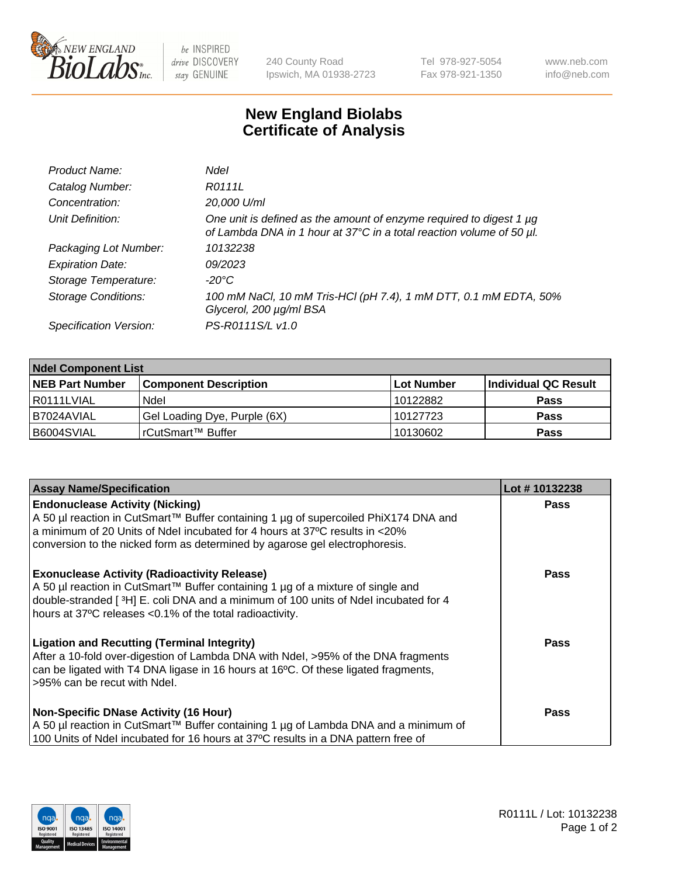

 $be$  INSPIRED drive DISCOVERY stay GENUINE

240 County Road Ipswich, MA 01938-2723 Tel 978-927-5054 Fax 978-921-1350 www.neb.com info@neb.com

## **New England Biolabs Certificate of Analysis**

| Product Name:              | <b>Ndel</b>                                                                                                                                      |
|----------------------------|--------------------------------------------------------------------------------------------------------------------------------------------------|
| Catalog Number:            | R0111L                                                                                                                                           |
| Concentration:             | 20,000 U/ml                                                                                                                                      |
| Unit Definition:           | One unit is defined as the amount of enzyme required to digest 1 $\mu$ g<br>of Lambda DNA in 1 hour at 37°C in a total reaction volume of 50 µl. |
| Packaging Lot Number:      | 10132238                                                                                                                                         |
| <b>Expiration Date:</b>    | 09/2023                                                                                                                                          |
| Storage Temperature:       | -20°C                                                                                                                                            |
| <b>Storage Conditions:</b> | 100 mM NaCl, 10 mM Tris-HCl (pH 7.4), 1 mM DTT, 0.1 mM EDTA, 50%<br>Glycerol, 200 µg/ml BSA                                                      |
| Specification Version:     | PS-R0111S/L v1.0                                                                                                                                 |

| <b>Ndel Component List</b> |                              |            |                      |  |  |
|----------------------------|------------------------------|------------|----------------------|--|--|
| <b>NEB Part Number</b>     | <b>Component Description</b> | Lot Number | Individual QC Result |  |  |
| R0111LVIAL                 | Ndel                         | 10122882   | <b>Pass</b>          |  |  |
| I B7024AVIAL               | Gel Loading Dye, Purple (6X) | 10127723   | <b>Pass</b>          |  |  |
| B6004SVIAL                 | l rCutSmart™ Buffer          | 10130602   | <b>Pass</b>          |  |  |

| <b>Assay Name/Specification</b>                                                                                                                                                                                                                                                           | Lot #10132238 |
|-------------------------------------------------------------------------------------------------------------------------------------------------------------------------------------------------------------------------------------------------------------------------------------------|---------------|
| <b>Endonuclease Activity (Nicking)</b><br>A 50 µl reaction in CutSmart™ Buffer containing 1 µg of supercoiled PhiX174 DNA and                                                                                                                                                             | <b>Pass</b>   |
| a minimum of 20 Units of Ndel incubated for 4 hours at 37°C results in $\lt$ 20%<br>conversion to the nicked form as determined by agarose gel electrophoresis.                                                                                                                           |               |
| <b>Exonuclease Activity (Radioactivity Release)</b><br>A 50 µl reaction in CutSmart™ Buffer containing 1 µg of a mixture of single and<br>double-stranded [3H] E. coli DNA and a minimum of 100 units of Ndel incubated for 4<br>hours at 37°C releases <0.1% of the total radioactivity. | Pass          |
| <b>Ligation and Recutting (Terminal Integrity)</b><br>After a 10-fold over-digestion of Lambda DNA with Ndel, >95% of the DNA fragments<br>can be ligated with T4 DNA ligase in 16 hours at 16°C. Of these ligated fragments,<br>>95% can be recut with Ndel.                             | Pass          |
| <b>Non-Specific DNase Activity (16 Hour)</b>                                                                                                                                                                                                                                              | Pass          |
| A 50 µl reaction in CutSmart™ Buffer containing 1 µg of Lambda DNA and a minimum of<br>100 Units of Ndel incubated for 16 hours at 37°C results in a DNA pattern free of                                                                                                                  |               |